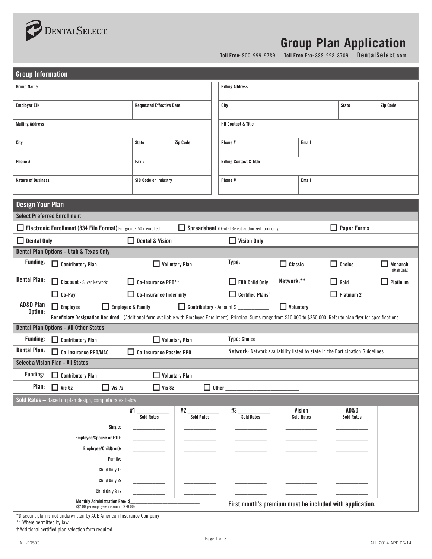

# **Group Plan Application**

**Toll Free:** 800-999-9789 **Toll Free Fax:** 888-998-8709 **DentalSelect.com**

| <b>Group Information</b>                                                                                                                                                                                                                                                                                    |                                 |                         |                                                  |                             |                           |                               |  |
|-------------------------------------------------------------------------------------------------------------------------------------------------------------------------------------------------------------------------------------------------------------------------------------------------------------|---------------------------------|-------------------------|--------------------------------------------------|-----------------------------|---------------------------|-------------------------------|--|
| <b>Group Name</b>                                                                                                                                                                                                                                                                                           |                                 |                         | <b>Billing Address</b>                           |                             |                           |                               |  |
| <b>Employer EIN</b>                                                                                                                                                                                                                                                                                         | <b>Requested Effective Date</b> |                         | City                                             |                             | State                     | Zip Code                      |  |
| <b>Mailing Address</b>                                                                                                                                                                                                                                                                                      |                                 |                         | <b>HR Contact &amp; Title</b>                    |                             |                           |                               |  |
| City                                                                                                                                                                                                                                                                                                        | <b>State</b>                    | Zip Code                | Phone#<br>Email                                  |                             |                           |                               |  |
| Phone #                                                                                                                                                                                                                                                                                                     | Fax#                            |                         | <b>Billing Contact &amp; Title</b>               |                             |                           |                               |  |
| <b>Nature of Business</b>                                                                                                                                                                                                                                                                                   | <b>SIC Code or Industry</b>     |                         | Phone#<br>Email                                  |                             |                           |                               |  |
| <b>Design Your Plan</b>                                                                                                                                                                                                                                                                                     |                                 |                         |                                                  |                             |                           |                               |  |
| <b>Select Preferred Enrollment</b>                                                                                                                                                                                                                                                                          |                                 |                         |                                                  |                             |                           |                               |  |
| Electronic Enrollment (834 File Format) For groups 50+ enrolled.                                                                                                                                                                                                                                            |                                 |                         | Spreadsheet (Dental Select authorized form only) |                             | $\Box$ Paper Forms        |                               |  |
| $\Box$ Dental Only                                                                                                                                                                                                                                                                                          | $\Box$ Dental & Vision          |                         | $\Box$ Vision Only                               |                             |                           |                               |  |
| Dental Plan Options - Utah & Texas Only                                                                                                                                                                                                                                                                     |                                 |                         |                                                  |                             |                           |                               |  |
| <b>Funding:</b><br>$\Box$ Contributory Plan                                                                                                                                                                                                                                                                 |                                 | $\Box$ Voluntary Plan   | Type:                                            | $\Box$ Classic              | $\Box$ Choice             | $\Box$ Monarch<br>(Utah Only) |  |
| <b>Dental Plan:</b><br>Discount - Silver Network*                                                                                                                                                                                                                                                           | $\Box$ Co-Insurance PP0**       |                         | $\Box$ EHB Child Only                            | Network:**                  | $\Box$ Gold               | $\Box$ Platinum               |  |
| $\Box$ Co-Pay                                                                                                                                                                                                                                                                                               | $\Box$ Co-Insurance Indemnity   |                         | $\Box$ Certified Plans <sup>†</sup>              |                             | $\Box$ Platinum 2         |                               |  |
| <b>AD&amp;D Plan</b><br>Contributory - Amount \$<br>$\Box$ Employee<br>Employee & Family<br>$\Box$ Voluntary<br>Option:<br>Beneficiary Designation Required - (Additional form available with Employee Enrollment) Principal Sums range from \$10,000 to \$250,000. Refer to plan flyer for specifications. |                                 |                         |                                                  |                             |                           |                               |  |
| <b>Dental Plan Options - All Other States</b>                                                                                                                                                                                                                                                               |                                 |                         |                                                  |                             |                           |                               |  |
| <b>Funding:</b><br>$\Box$ Contributory Plan                                                                                                                                                                                                                                                                 |                                 | $\Box$ Voluntary Plan   | <b>Type: Choice</b>                              |                             |                           |                               |  |
| <b>Dental Plan:</b><br>Network: Network availability listed by state in the Participation Guidelines.<br>Co-Insurance PPO/MAC<br>Co-Insurance Passive PPO                                                                                                                                                   |                                 |                         |                                                  |                             |                           |                               |  |
| <b>Select a Vision Plan - All States</b>                                                                                                                                                                                                                                                                    |                                 |                         |                                                  |                             |                           |                               |  |
| <b>Funding:</b><br>$\Box$ Contributory Plan                                                                                                                                                                                                                                                                 |                                 | $\Box$ Voluntary Plan   |                                                  |                             |                           |                               |  |
| <b>Plan:</b> $\Box$ Vis 6z<br>$\Box$ Vis 7z                                                                                                                                                                                                                                                                 | $\Box$ Vis 8z                   |                         | $\Box$ Other                                     |                             |                           |                               |  |
| Sold Rates - Based on plan design, complete rates below                                                                                                                                                                                                                                                     |                                 |                         |                                                  |                             |                           |                               |  |
|                                                                                                                                                                                                                                                                                                             | #1<br>Sold Rates                | #2<br><b>Sold Rates</b> | #3<br><b>Sold Rates</b>                          | Vision<br><b>Sold Rates</b> | AD&D<br><b>Sold Rates</b> |                               |  |
| Single:                                                                                                                                                                                                                                                                                                     |                                 |                         |                                                  |                             |                           |                               |  |
| Employee/Spouse or E1D:                                                                                                                                                                                                                                                                                     |                                 |                         |                                                  |                             |                           |                               |  |
| Employee/Child(ren):<br>Family:                                                                                                                                                                                                                                                                             |                                 |                         |                                                  |                             |                           |                               |  |
| Child Only 1:                                                                                                                                                                                                                                                                                               |                                 |                         |                                                  |                             |                           |                               |  |
| Child Only 2:                                                                                                                                                                                                                                                                                               |                                 |                         |                                                  |                             |                           |                               |  |
| Child Only 3+:                                                                                                                                                                                                                                                                                              |                                 |                         |                                                  |                             |                           |                               |  |
| Monthly Administration Fee: \$<br>First month's premium must be included with application.<br>(\$2.00 per employee: maximum \$20.00)                                                                                                                                                                        |                                 |                         |                                                  |                             |                           |                               |  |

\*Discount plan is not underwritten by ACE American Insurance Company

\*\* Where permitted by law

**†** Additional certified plan selection form required.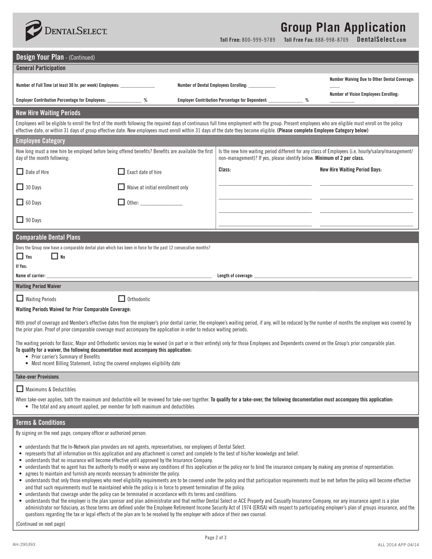

## **Group Plan Application**

**Toll Free:** 800-999-9789 **Toll Free Fax:** 888-998-8709 **DentalSelect.com**

| <b>Design Your Plan - (Continued)</b>                                                                                                                                                                                                                                                                                                                                                                                                                                                                                                                                                                                                                                                                                                                                                                                                                                                                                                                                                                                                                                                                                                                                                                                                                                                            |                                  |  |                                                                         |                                                                                                                                                                                                          |  |
|--------------------------------------------------------------------------------------------------------------------------------------------------------------------------------------------------------------------------------------------------------------------------------------------------------------------------------------------------------------------------------------------------------------------------------------------------------------------------------------------------------------------------------------------------------------------------------------------------------------------------------------------------------------------------------------------------------------------------------------------------------------------------------------------------------------------------------------------------------------------------------------------------------------------------------------------------------------------------------------------------------------------------------------------------------------------------------------------------------------------------------------------------------------------------------------------------------------------------------------------------------------------------------------------------|----------------------------------|--|-------------------------------------------------------------------------|----------------------------------------------------------------------------------------------------------------------------------------------------------------------------------------------------------|--|
| <b>General Participation</b>                                                                                                                                                                                                                                                                                                                                                                                                                                                                                                                                                                                                                                                                                                                                                                                                                                                                                                                                                                                                                                                                                                                                                                                                                                                                     |                                  |  |                                                                         |                                                                                                                                                                                                          |  |
| Number of Full Time (at least 30 hr. per week) Employees: ________________                                                                                                                                                                                                                                                                                                                                                                                                                                                                                                                                                                                                                                                                                                                                                                                                                                                                                                                                                                                                                                                                                                                                                                                                                       |                                  |  | Number of Dental Employees Enrolling: ______                            | <b>Number Waiving Due to Other Dental Coverage:</b>                                                                                                                                                      |  |
| Employer Contribution Percentage for Employees: ________________ %                                                                                                                                                                                                                                                                                                                                                                                                                                                                                                                                                                                                                                                                                                                                                                                                                                                                                                                                                                                                                                                                                                                                                                                                                               |                                  |  | Employer Contribution Percentage for Dependent: ________________<br>%   | <b>Number of Vision Employees Enrolling:</b>                                                                                                                                                             |  |
| <b>New Hire Waiting Periods</b>                                                                                                                                                                                                                                                                                                                                                                                                                                                                                                                                                                                                                                                                                                                                                                                                                                                                                                                                                                                                                                                                                                                                                                                                                                                                  |                                  |  |                                                                         |                                                                                                                                                                                                          |  |
| Employees will be eligible to enroll the first of the month following the required days of continuous full time employment with the group. Present employees who are eligible must enroll on the policy<br>effective date, or within 31 days of group effective date. New employees must enroll within 31 days of the date they become eligible. (Please complete Employee Category below)                                                                                                                                                                                                                                                                                                                                                                                                                                                                                                                                                                                                                                                                                                                                                                                                                                                                                                       |                                  |  |                                                                         |                                                                                                                                                                                                          |  |
| <b>Employee Category</b>                                                                                                                                                                                                                                                                                                                                                                                                                                                                                                                                                                                                                                                                                                                                                                                                                                                                                                                                                                                                                                                                                                                                                                                                                                                                         |                                  |  |                                                                         |                                                                                                                                                                                                          |  |
| How long must a new hire be employed before being offered benefits? Benefits are available the first<br>day of the month following:                                                                                                                                                                                                                                                                                                                                                                                                                                                                                                                                                                                                                                                                                                                                                                                                                                                                                                                                                                                                                                                                                                                                                              |                                  |  | non-management)? If yes, please identify below. Minimum of 2 per class. | Is the new hire waiting period different for any class of Employees (i.e. hourly/salary/management/                                                                                                      |  |
| $\Box$ Date of Hire                                                                                                                                                                                                                                                                                                                                                                                                                                                                                                                                                                                                                                                                                                                                                                                                                                                                                                                                                                                                                                                                                                                                                                                                                                                                              | $\Box$ Exact date of hire        |  | Class:                                                                  | <b>New Hire Waiting Period Days:</b>                                                                                                                                                                     |  |
| $\Box$ 30 Days                                                                                                                                                                                                                                                                                                                                                                                                                                                                                                                                                                                                                                                                                                                                                                                                                                                                                                                                                                                                                                                                                                                                                                                                                                                                                   | Waive at initial enrollment only |  |                                                                         |                                                                                                                                                                                                          |  |
| $\Box$ 60 Days                                                                                                                                                                                                                                                                                                                                                                                                                                                                                                                                                                                                                                                                                                                                                                                                                                                                                                                                                                                                                                                                                                                                                                                                                                                                                   | $\Box$ Other:                    |  |                                                                         |                                                                                                                                                                                                          |  |
| $\Box$ 90 Days                                                                                                                                                                                                                                                                                                                                                                                                                                                                                                                                                                                                                                                                                                                                                                                                                                                                                                                                                                                                                                                                                                                                                                                                                                                                                   |                                  |  |                                                                         |                                                                                                                                                                                                          |  |
| <b>Comparable Dental Plans</b>                                                                                                                                                                                                                                                                                                                                                                                                                                                                                                                                                                                                                                                                                                                                                                                                                                                                                                                                                                                                                                                                                                                                                                                                                                                                   |                                  |  |                                                                         |                                                                                                                                                                                                          |  |
| Does the Group now have a comparable dental plan which has been in force for the past 12 consecutive months?<br>$\square$ No<br>$\Box$ Yes<br>If Yes:                                                                                                                                                                                                                                                                                                                                                                                                                                                                                                                                                                                                                                                                                                                                                                                                                                                                                                                                                                                                                                                                                                                                            |                                  |  |                                                                         |                                                                                                                                                                                                          |  |
| Name of carrier: __                                                                                                                                                                                                                                                                                                                                                                                                                                                                                                                                                                                                                                                                                                                                                                                                                                                                                                                                                                                                                                                                                                                                                                                                                                                                              |                                  |  | Length of coverage:                                                     |                                                                                                                                                                                                          |  |
| <b>Waiting Period Waiver</b>                                                                                                                                                                                                                                                                                                                                                                                                                                                                                                                                                                                                                                                                                                                                                                                                                                                                                                                                                                                                                                                                                                                                                                                                                                                                     |                                  |  |                                                                         |                                                                                                                                                                                                          |  |
| $\Box$ Waiting Periods                                                                                                                                                                                                                                                                                                                                                                                                                                                                                                                                                                                                                                                                                                                                                                                                                                                                                                                                                                                                                                                                                                                                                                                                                                                                           | Orthodontic                      |  |                                                                         |                                                                                                                                                                                                          |  |
| Waiting Periods Waived for Prior Comparable Coverage:                                                                                                                                                                                                                                                                                                                                                                                                                                                                                                                                                                                                                                                                                                                                                                                                                                                                                                                                                                                                                                                                                                                                                                                                                                            |                                  |  |                                                                         |                                                                                                                                                                                                          |  |
| the prior plan. Proof of prior comparable coverage must accompany the application in order to reduce waiting periods.                                                                                                                                                                                                                                                                                                                                                                                                                                                                                                                                                                                                                                                                                                                                                                                                                                                                                                                                                                                                                                                                                                                                                                            |                                  |  |                                                                         | With proof of coverage and Member's effective dates from the employer's prior dental carrier, the employee's waiting period, if any, will be reduced by the number of months the employee was covered by |  |
| The waiting periods for Basic, Major and Orthodontic services may be waived (in part or in their entirety) only for those Employees and Dependents covered on the Group's prior comparable plan.<br>To qualify for a waiver, the following documentation must accompany this application:<br>• Prior carrier's Summary of Benefits<br>• Most recent Billing Statement, listing the covered employees eligibility date                                                                                                                                                                                                                                                                                                                                                                                                                                                                                                                                                                                                                                                                                                                                                                                                                                                                            |                                  |  |                                                                         |                                                                                                                                                                                                          |  |
| <b>Take-over Provisions</b>                                                                                                                                                                                                                                                                                                                                                                                                                                                                                                                                                                                                                                                                                                                                                                                                                                                                                                                                                                                                                                                                                                                                                                                                                                                                      |                                  |  |                                                                         |                                                                                                                                                                                                          |  |
| Maximums & Deductibles                                                                                                                                                                                                                                                                                                                                                                                                                                                                                                                                                                                                                                                                                                                                                                                                                                                                                                                                                                                                                                                                                                                                                                                                                                                                           |                                  |  |                                                                         |                                                                                                                                                                                                          |  |
| When take-over applies, both the maximum and deductible will be reviewed for take-over together. <b>To qualify for a take-over, the following documentation must accompany this application:</b><br>• The total and any amount applied, per member for both maximum and deductibles                                                                                                                                                                                                                                                                                                                                                                                                                                                                                                                                                                                                                                                                                                                                                                                                                                                                                                                                                                                                              |                                  |  |                                                                         |                                                                                                                                                                                                          |  |
| <b>Terms &amp; Conditions</b>                                                                                                                                                                                                                                                                                                                                                                                                                                                                                                                                                                                                                                                                                                                                                                                                                                                                                                                                                                                                                                                                                                                                                                                                                                                                    |                                  |  |                                                                         |                                                                                                                                                                                                          |  |
| By signing on the next page, company officer or authorized person:                                                                                                                                                                                                                                                                                                                                                                                                                                                                                                                                                                                                                                                                                                                                                                                                                                                                                                                                                                                                                                                                                                                                                                                                                               |                                  |  |                                                                         |                                                                                                                                                                                                          |  |
| • understands that the In-Network plan providers are not agents, representatives, nor employees of Dental Select.<br>• represents that all information on this application and any attachment is correct and complete to the best of his/her knowledge and belief.<br>understands that no insurance will become effective until approved by the Insurance Company.<br>• understands that no agent has the authority to modify or waive any conditions of this application or the policy nor to bind the insurance company by making any promise of representation.<br>• agrees to maintain and furnish any records necessary to administer the policy.<br>• understands that only those employees who meet eligibility requirements are to be covered under the policy and that participation requirements must be met before the policy will become effective<br>and that such requirements must be maintained while the policy is in force to prevent termination of the policy.<br>• understands that coverage under the policy can be terminated in accordance with its terms and conditions.<br>• understands that the employer is the plan sponsor and plan administrator and that neither Dental Select or ACE Property and Casualty Insurance Company, nor any insurance agent is a plan |                                  |  |                                                                         |                                                                                                                                                                                                          |  |
| administrator nor fiduciary, as those terms are defined under the Employee Retirement Income Security Act of 1974 (ERISA) with respect to participating employer's plan of groups insurance, and the<br>questions regarding the tax or legal effects of the plan are to be resolved by the employer with advice of their own counsel.                                                                                                                                                                                                                                                                                                                                                                                                                                                                                                                                                                                                                                                                                                                                                                                                                                                                                                                                                            |                                  |  |                                                                         |                                                                                                                                                                                                          |  |

(Continued on next page)